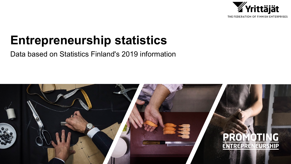

## **Entrepreneurship statistics**

Data based on Statistics Finland's 2019 information

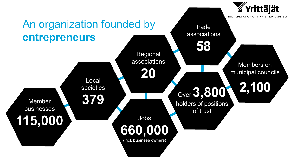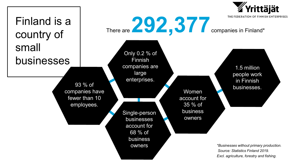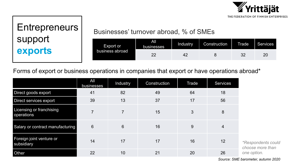

# support **exports**

### Entrepreneurs | Businesses' turnover abroad, % of SMEs

| Export or<br>business abroad | All<br><b>businesses</b> | Industry | Construction | <b>Trade</b> | <b>Services</b> |
|------------------------------|--------------------------|----------|--------------|--------------|-----------------|
|                              | ົດຕ                      |          |              |              |                 |

Forms of export or business operations in companies that export or have operations abroad\*

|                                        | All<br>businesses | Industry       | Construction | <b>Trade</b> | <b>Services</b> |
|----------------------------------------|-------------------|----------------|--------------|--------------|-----------------|
| Direct goods export                    | 41                | 82             | 49           | 64           | 18              |
| Direct services export                 | 39                | 13             | 37           | 17           | 56              |
| Licensing or franchising<br>operations | $\overline{7}$    | $\overline{7}$ | 15           | 3            | 8               |
| Salary or contract manufacturing       | $6\phantom{1}$    | 6              | 16           | 9            | $\overline{4}$  |
| Foreign joint venture or<br>subsidiary | 14                | 17             | 17           | 16           | 12              |
| <b>Other</b>                           | 22                | 10             | 21           | 20           | 26              |

*Source: SME barometer, autumn 2020*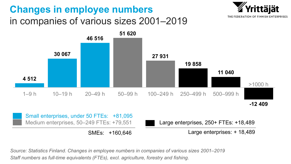#### **Changes in employee numbers**  in companies of various sizes 2001–2019





Small enterprises, under 50 FTEs: +81,095 Medium enterprises, 50–249 FTEs: +79,551 Large enterprises, 250+ FTEs: +18,489

SMEs: +160,646 Large enterprises: + 18,489

*Source: Statistics Finland. Changes in employee numbers in companies of various sizes 2001–2019 Staff numbers as full-time equivalents (FTEs), excl. agriculture, forestry and fishing.*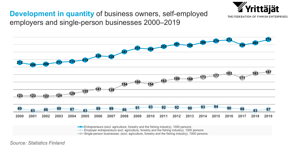#### **Development in quantity** of business owners, self-employed employers and single-person businesses 2000–2019



*l*rittäiät

THE FEDERATION OF FINNISH ENTERPRISES

Entrepreneurs (excl. agriculture, forestry and the fishing industry), 1000 persons

Employer entrepreneurs excl. agriculture, forestry and the fishing industry), 1000 persons

Single-person businesses. (excl. agriculture, forestry and the fishing industry), 1000 persons

*Source: Statistics Finland*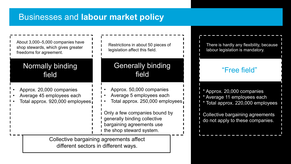#### Businesses and **labour market policy**

| About 3,000-5,000 companies have<br>shop stewards, which gives greater<br>freedoms for agreement. | Restrictions in about 50 pieces of<br>legislation affect this field.                                                   | There is hardly any flexibility, because<br>labour legislation is mandatory.                 |
|---------------------------------------------------------------------------------------------------|------------------------------------------------------------------------------------------------------------------------|----------------------------------------------------------------------------------------------|
| Normally binding<br>field                                                                         | <b>Generally binding</b><br>field                                                                                      | "Free field"                                                                                 |
| Approx. 20,000 companies<br>Average 45 employees each<br>Total approx. 920,000 employees          | Approx. 50,000 companies<br>Average 5 employees each<br>Total approx. 250,000 employees,                               | * Approx. 20,000 companies<br>* Average 11 employees each<br>Total approx. 220,000 employees |
|                                                                                                   | Only a few companies bound by<br>generally binding collective<br>bargaining agreements use<br>the shop steward system. | Collective bargaining agreements<br>do not apply to these companies.                         |
| Collective bargaining agreements affect<br>different sectors in different ways.                   |                                                                                                                        |                                                                                              |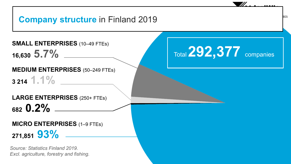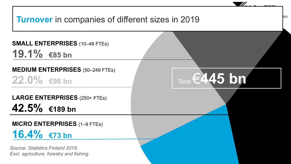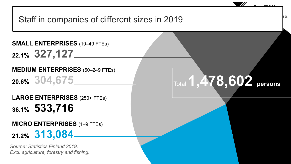